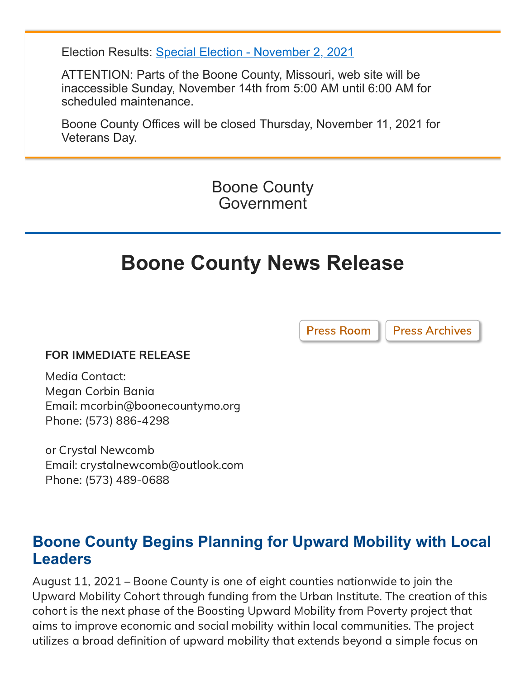Election Results: [Special Election - November 2, 2021](https://showmeboone.com/clerk/elections/results/20211102SSP.pdf)

ATTENTION: Parts of the Boone County, Missouri, web site will be inaccessible Sunday, November 14th from 5:00 AM until 6:00 AM for scheduled maintenance.

Boone County Offices will be closed Thursday, November 11, 2021 for Veterans Day.

> Boone County Government

# **Boone County News Release**

[Press Room](https://www.showmeboone.com/commission/press-room.asp) | [Press Archives](https://www.showmeboone.com/commission/press-archives.asp)

#### FOR IMMEDIATE RELEASE

Media Contact: Megan Corbin Bania Email: mcorbin@boonecountymo.org Phone: (573) 886-4298

or Crystal Newcomb Email: crystalnewcomb@outlook.com Phone: (573) 489-0688

## **Boone County Begins Planning for Upward Mobility with Local Leaders**

August 11, 2021 – Boone County is one of eight counties nationwide to join the Upward Mobility Cohort through funding from the Urban Institute. The creation of this cohort is the next phase of the Boosting Upward Mobility from Poverty project that aims to improve economic and social mobility within local communities. The project utilizes a broad definition of upward mobility that extends beyond a simple focus on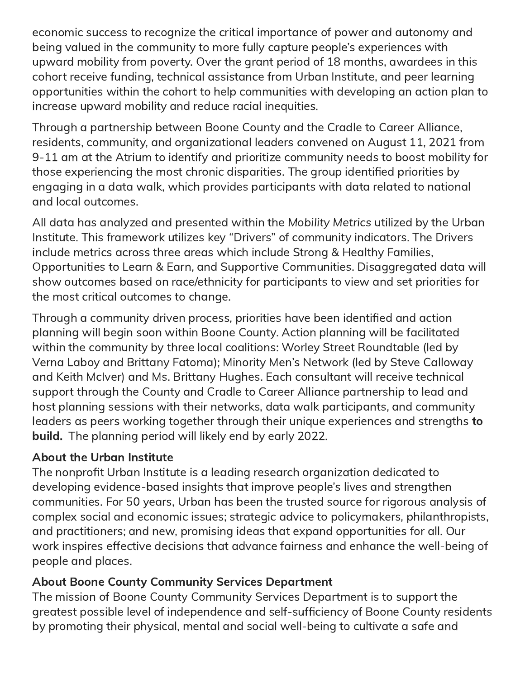economic success to recognize the critical importance of power and autonomy and being valued in the community to more fully capture people's experiences with upward mobility from poverty. Over the grant period of 18 months, awardees in this cohort receive funding, technical assistance from Urban Institute, and peer learning opportunities within the cohort to help communities with developing an action plan to increase upward mobility and reduce racial inequities.

Through a partnership between Boone County and the Cradle to Career Alliance, residents, community, and organizational leaders convened on August 11, 2021 from 9-11 am at the Atrium to identify and prioritize community needs to boost mobility for those experiencing the most chronic disparities. The group identified priorities by engaging in a data walk, which provides participants with data related to national and local outcomes.

All data has analyzed and presented within the Mobility Metrics utilized by the Urban Institute. This framework utilizes key "Drivers" of community indicators. The Drivers include metrics across three areas which include Strong & Healthy Families, Opportunities to Learn & Earn, and Supportive Communities. Disaggregated data will show outcomes based on race/ethnicity for participants to view and set priorities for the most critical outcomes to change.

Through a community driven process, priorities have been identified and action planning will begin soon within Boone County. Action planning will be facilitated within the community by three local coalitions: Worley Street Roundtable (led by Verna Laboy and Brittany Fatoma); Minority Men's Network (led by Steve Calloway and Keith McIver) and Ms. Brittany Hughes. Each consultant will receive technical support through the County and Cradle to Career Alliance partnership to lead and host planning sessions with their networks, data walk participants, and community leaders as peers working together through their unique experiences and strengths to build. The planning period will likely end by early 2022.

#### About the Urban Institute

The nonprofit Urban Institute is a leading research organization dedicated to developing evidence-based insights that improve people's lives and strengthen communities. For 50 years, Urban has been the trusted source for rigorous analysis of complex social and economic issues; strategic advice to policymakers, philanthropists, and practitioners; and new, promising ideas that expand opportunities for all. Our work inspires effective decisions that advance fairness and enhance the well-being of people and places.

### About Boone County Community Services Department

The mission of Boone County Community Services Department is to support the greatest possible level of independence and self-sufficiency of Boone County residents by promoting their physical, mental and social well-being to cultivate a safe and